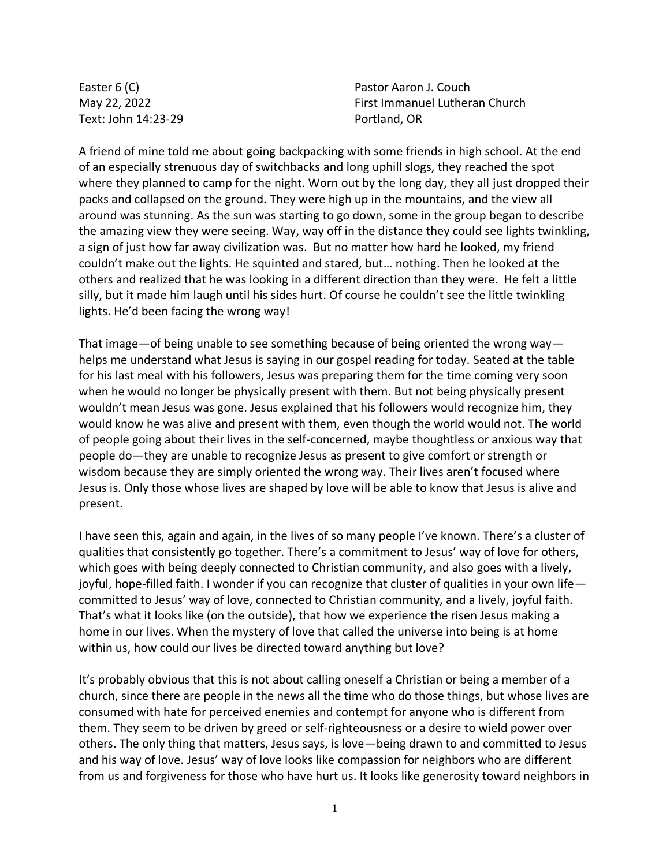Easter 6 (C) May 22, 2022 Text: John 14:23-29 Pastor Aaron J. Couch First Immanuel Lutheran Church Portland, OR

A friend of mine told me about going backpacking with some friends in high school. At the end of an especially strenuous day of switchbacks and long uphill slogs, they reached the spot where they planned to camp for the night. Worn out by the long day, they all just dropped their packs and collapsed on the ground. They were high up in the mountains, and the view all around was stunning. As the sun was starting to go down, some in the group began to describe the amazing view they were seeing. Way, way off in the distance they could see lights twinkling, a sign of just how far away civilization was. But no matter how hard he looked, my friend couldn't make out the lights. He squinted and stared, but… nothing. Then he looked at the others and realized that he was looking in a different direction than they were. He felt a little silly, but it made him laugh until his sides hurt. Of course he couldn't see the little twinkling lights. He'd been facing the wrong way!

That image—of being unable to see something because of being oriented the wrong way helps me understand what Jesus is saying in our gospel reading for today. Seated at the table for his last meal with his followers, Jesus was preparing them for the time coming very soon when he would no longer be physically present with them. But not being physically present wouldn't mean Jesus was gone. Jesus explained that his followers would recognize him, they would know he was alive and present with them, even though the world would not. The world of people going about their lives in the self-concerned, maybe thoughtless or anxious way that people do—they are unable to recognize Jesus as present to give comfort or strength or wisdom because they are simply oriented the wrong way. Their lives aren't focused where Jesus is. Only those whose lives are shaped by love will be able to know that Jesus is alive and present.

I have seen this, again and again, in the lives of so many people I've known. There's a cluster of qualities that consistently go together. There's a commitment to Jesus' way of love for others, which goes with being deeply connected to Christian community, and also goes with a lively, joyful, hope-filled faith. I wonder if you can recognize that cluster of qualities in your own life committed to Jesus' way of love, connected to Christian community, and a lively, joyful faith. That's what it looks like (on the outside), that how we experience the risen Jesus making a home in our lives. When the mystery of love that called the universe into being is at home within us, how could our lives be directed toward anything but love?

It's probably obvious that this is not about calling oneself a Christian or being a member of a church, since there are people in the news all the time who do those things, but whose lives are consumed with hate for perceived enemies and contempt for anyone who is different from them. They seem to be driven by greed or self-righteousness or a desire to wield power over others. The only thing that matters, Jesus says, is love—being drawn to and committed to Jesus and his way of love. Jesus' way of love looks like compassion for neighbors who are different from us and forgiveness for those who have hurt us. It looks like generosity toward neighbors in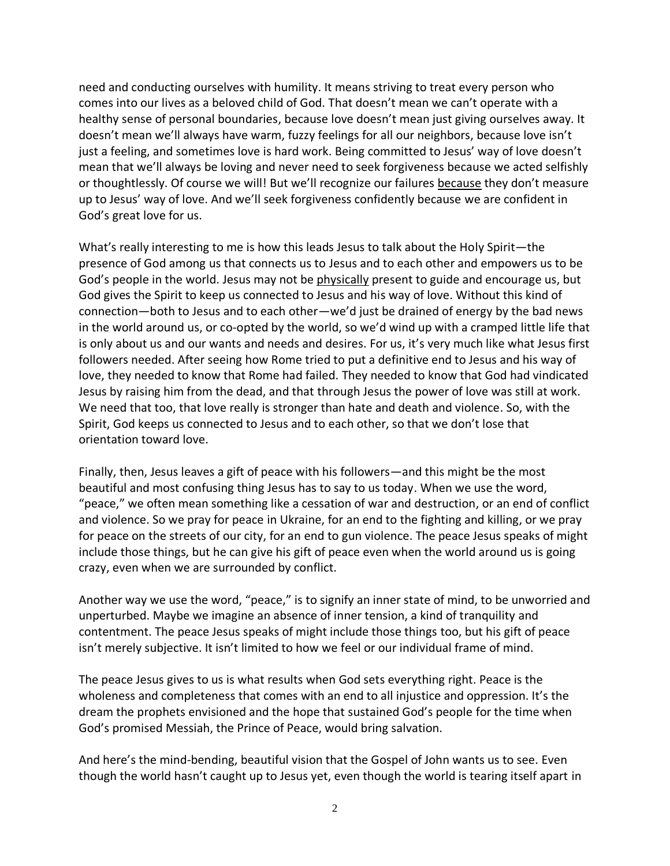need and conducting ourselves with humility. It means striving to treat every person who comes into our lives as a beloved child of God. That doesn't mean we can't operate with a healthy sense of personal boundaries, because love doesn't mean just giving ourselves away. It doesn't mean we'll always have warm, fuzzy feelings for all our neighbors, because love isn't just a feeling, and sometimes love is hard work. Being committed to Jesus' way of love doesn't mean that we'll always be loving and never need to seek forgiveness because we acted selfishly or thoughtlessly. Of course we will! But we'll recognize our failures because they don't measure up to Jesus' way of love. And we'll seek forgiveness confidently because we are confident in God's great love for us.

What's really interesting to me is how this leads Jesus to talk about the Holy Spirit—the presence of God among us that connects us to Jesus and to each other and empowers us to be God's people in the world. Jesus may not be physically present to guide and encourage us, but God gives the Spirit to keep us connected to Jesus and his way of love. Without this kind of connection—both to Jesus and to each other—we'd just be drained of energy by the bad news in the world around us, or co-opted by the world, so we'd wind up with a cramped little life that is only about us and our wants and needs and desires. For us, it's very much like what Jesus first followers needed. After seeing how Rome tried to put a definitive end to Jesus and his way of love, they needed to know that Rome had failed. They needed to know that God had vindicated Jesus by raising him from the dead, and that through Jesus the power of love was still at work. We need that too, that love really is stronger than hate and death and violence. So, with the Spirit, God keeps us connected to Jesus and to each other, so that we don't lose that orientation toward love.

Finally, then, Jesus leaves a gift of peace with his followers—and this might be the most beautiful and most confusing thing Jesus has to say to us today. When we use the word, "peace," we often mean something like a cessation of war and destruction, or an end of conflict and violence. So we pray for peace in Ukraine, for an end to the fighting and killing, or we pray for peace on the streets of our city, for an end to gun violence. The peace Jesus speaks of might include those things, but he can give his gift of peace even when the world around us is going crazy, even when we are surrounded by conflict.

Another way we use the word, "peace," is to signify an inner state of mind, to be unworried and unperturbed. Maybe we imagine an absence of inner tension, a kind of tranquility and contentment. The peace Jesus speaks of might include those things too, but his gift of peace isn't merely subjective. It isn't limited to how we feel or our individual frame of mind.

The peace Jesus gives to us is what results when God sets everything right. Peace is the wholeness and completeness that comes with an end to all injustice and oppression. It's the dream the prophets envisioned and the hope that sustained God's people for the time when God's promised Messiah, the Prince of Peace, would bring salvation.

And here's the mind-bending, beautiful vision that the Gospel of John wants us to see. Even though the world hasn't caught up to Jesus yet, even though the world is tearing itself apart in